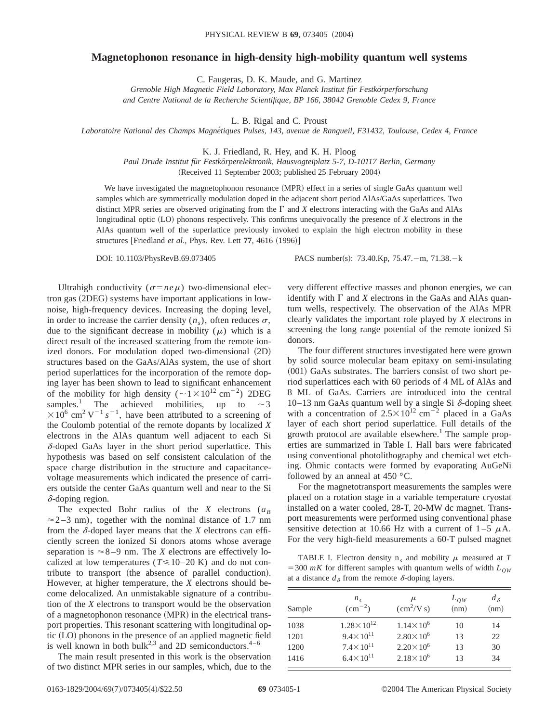## **Magnetophonon resonance in high-density high-mobility quantum well systems**

C. Faugeras, D. K. Maude, and G. Martinez

Grenoble High Magnetic Field Laboratory, Max Planck Institut für Festkörperforschung *and Centre National de la Recherche Scientifique, BP 166, 38042 Grenoble Cedex 9, France*

L. B. Rigal and C. Proust

*Laboratoire National des Champs Magne´tiques Pulses, 143, avenue de Rangueil, F31432, Toulouse, Cedex 4, France*

K. J. Friedland, R. Hey, and K. H. Ploog

*Paul Drude Institut fu¨r Festko¨rperelektronik, Hausvogteiplatz 5-7, D-10117 Berlin, Germany* (Received 11 September 2003; published 25 February 2004)

We have investigated the magnetophonon resonance (MPR) effect in a series of single GaAs quantum well samples which are symmetrically modulation doped in the adjacent short period AlAs/GaAs superlattices. Two distinct MPR series are observed originating from the  $\Gamma$  and  $\chi$  electrons interacting with the GaAs and AlAs longitudinal optic (LO) phonons respectively. This confirms unequivocally the presence of *X* electrons in the AlAs quantum well of the superlattice previously invoked to explain the high electron mobility in these structures [Friedland *et al.*, Phys. Rev. Lett 77, 4616 (1996)]

DOI: 10.1103/PhysRevB.69.073405 PACS number(s): 73.40.Kp, 75.47. - m, 71.38. - k

Ultrahigh conductivity ( $\sigma = ne\mu$ ) two-dimensional electron gas  $(2DEG)$  systems have important applications in lownoise, high-frequency devices. Increasing the doping level, in order to increase the carrier density  $(n<sub>s</sub>)$ , often reduces  $\sigma$ , due to the significant decrease in mobility  $(\mu)$  which is a direct result of the increased scattering from the remote ionized donors. For modulation doped two-dimensional  $(2D)$ structures based on the GaAs/AlAs system, the use of short period superlattices for the incorporation of the remote doping layer has been shown to lead to significant enhancement of the mobility for high density ( $\sim 1 \times 10^{12}$  cm<sup>-2</sup>) 2DEG samples.<sup>1</sup> The achieved mobilities, up to  $\sim$ 3  $\times$ 10<sup>6</sup> cm<sup>2</sup> V<sup>-1</sup> s<sup>-1</sup>, have been attributed to a screening of the Coulomb potential of the remote dopants by localized *X* electrons in the AlAs quantum well adjacent to each Si  $\delta$ -doped GaAs layer in the short period superlattice. This hypothesis was based on self consistent calculation of the space charge distribution in the structure and capacitancevoltage measurements which indicated the presence of carriers outside the center GaAs quantum well and near to the Si  $\delta$ -doping region.

The expected Bohr radius of the *X* electrons ( $a_B$  $\approx$  2–3 nm), together with the nominal distance of 1.7 nm from the  $\delta$ -doped layer means that the *X* electrons can efficiently screen the ionized Si donors atoms whose average separation is  $\approx$  8-9 nm. The *X* electrons are effectively localized at low temperatures ( $T \le 10-20$  K) and do not contribute to transport (the absence of parallel conduction). However, at higher temperature, the *X* electrons should become delocalized. An unmistakable signature of a contribution of the *X* electrons to transport would be the observation of a magnetophonon resonance (MPR) in the electrical transport properties. This resonant scattering with longitudinal op- $\mu$  (LO) phonons in the presence of an applied magnetic field is well known in both bulk<sup>2,3</sup> and 2D semiconductors.<sup>4–6</sup>

The main result presented in this work is the observation of two distinct MPR series in our samples, which, due to the very different effective masses and phonon energies, we can identify with  $\Gamma$  and *X* electrons in the GaAs and AlAs quantum wells, respectively. The observation of the AlAs MPR clearly validates the important role played by *X* electrons in screening the long range potential of the remote ionized Si donors.

The four different structures investigated here were grown by solid source molecular beam epitaxy on semi-insulating  $(001)$  GaAs substrates. The barriers consist of two short period superlattices each with 60 periods of 4 ML of AlAs and 8 ML of GaAs. Carriers are introduced into the central 10–13 nm GaAs quantum well by a single Si  $\delta$ -doping sheet with a concentration of  $2.5 \times 10^{12}$  cm<sup>-2</sup> placed in a GaAs layer of each short period superlattice. Full details of the growth protocol are available elsewhere.<sup>1</sup> The sample properties are summarized in Table I. Hall bars were fabricated using conventional photolithography and chemical wet etching. Ohmic contacts were formed by evaporating AuGeNi followed by an anneal at 450 °C.

For the magnetotransport measurements the samples were placed on a rotation stage in a variable temperature cryostat installed on a water cooled, 28-T, 20-MW dc magnet. Transport measurements were performed using conventional phase sensitive detection at 10.66 Hz with a current of  $1-5 \mu A$ . For the very high-field measurements a 60-T pulsed magnet

TABLE I. Electron density  $n_s$  and mobility  $\mu$  measured at *T*  $=$  300 *mK* for different samples with quantum wells of width  $L_{OW}$ at a distance  $d_{\delta}$  from the remote  $\delta$ -doping layers.

| Sample | $n_{\rm s}$<br>$\rm (cm^{-2})$ | μ<br>$\left(\frac{\text{cm}^2}{\text{V s}}\right)$ | $L_{OW}$<br>(nm) | $d_{\delta}$<br>(nm) |
|--------|--------------------------------|----------------------------------------------------|------------------|----------------------|
| 1038   | $1.28 \times 10^{12}$          | $1.14 \times 10^6$                                 | 10               | 14                   |
| 1201   | $9.4 \times 10^{11}$           | $2.80 \times 10^6$                                 | 13               | 22                   |
| 1200   | $7.4 \times 10^{11}$           | $2.20 \times 10^6$                                 | 13               | 30                   |
| 1416   | $6.4 \times 10^{11}$           | $2.18 \times 10^6$                                 | 13               | 34                   |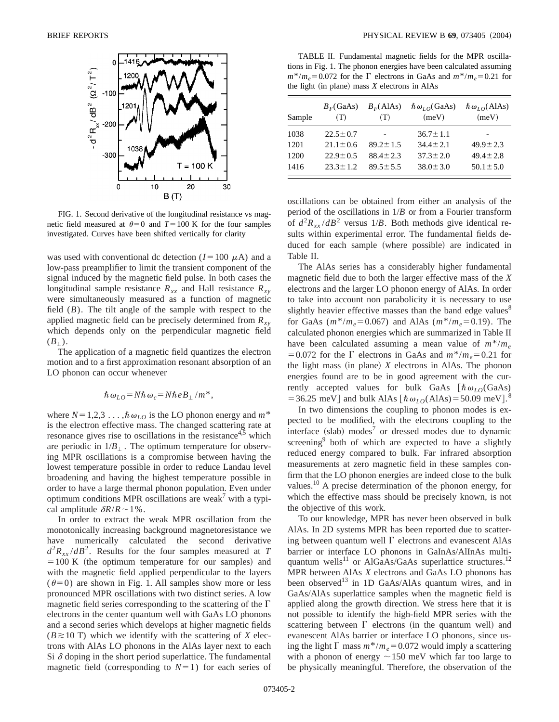

FIG. 1. Second derivative of the longitudinal resistance vs magnetic field measured at  $\theta=0$  and  $T=100$  K for the four samples investigated. Curves have been shifted vertically for clarity

was used with conventional dc detection  $(I=100 \mu A)$  and a low-pass preamplifier to limit the transient component of the signal induced by the magnetic field pulse. In both cases the longitudinal sample resistance  $R_{xx}$  and Hall resistance  $R_{xy}$ were simultaneously measured as a function of magnetic field (*B*). The tilt angle of the sample with respect to the applied magnetic field can be precisely determined from  $R_{xy}$ which depends only on the perpendicular magnetic field  $(B_+)$ .

The application of a magnetic field quantizes the electron motion and to a first approximation resonant absorption of an LO phonon can occur whenever

$$
\hbar \omega_{LO} = N \hbar \omega_c = N \hbar e B_\perp / m^*,
$$

where  $N=1,2,3 \ldots, \hbar \omega_{LO}$  is the LO phonon energy and  $m^*$ is the electron effective mass. The changed scattering rate at resonance gives rise to oscillations in the resistance<sup>4,5</sup> which are periodic in  $1/B_{\perp}$ . The optimum temperature for observing MPR oscillations is a compromise between having the lowest temperature possible in order to reduce Landau level broadening and having the highest temperature possible in order to have a large thermal phonon population. Even under optimum conditions MPR oscillations are weak<sup>7</sup> with a typical amplitude  $\delta R/R \sim 1\%$ .

In order to extract the weak MPR oscillation from the monotonically increasing background magnetoresistance we have numerically calculated the second derivative  $d^2R_{xx}/dB^2$ . Results for the four samples measured at *T*  $=100$  K (the optimum temperature for our samples) and with the magnetic field applied perpendicular to the layers  $(\theta=0)$  are shown in Fig. 1. All samples show more or less pronounced MPR oscillations with two distinct series. A low magnetic field series corresponding to the scattering of the  $\Gamma$ electrons in the center quantum well with GaAs LO phonons and a second series which develops at higher magnetic fields  $(B \ge 10$  T) which we identify with the scattering of *X* electrons with AlAs LO phonons in the AlAs layer next to each Si  $\delta$  doping in the short period superlattice. The fundamental magnetic field (corresponding to  $N=1$ ) for each series of

TABLE II. Fundamental magnetic fields for the MPR oscillations in Fig. 1. The phonon energies have been calculated assuming  $m^*/m_e = 0.072$  for the  $\Gamma$  electrons in GaAs and  $m^*/m_e = 0.21$  for the light (in plane) mass  $X$  electrons in AlAs

| Sample | $B_F(GaAs)$<br>(T) | $B_F(A As)$<br>(T) | $\hbar \omega_{LO}$ (GaAs)<br>(meV) | $\hbar \omega_{LO}$ (AlAs)<br>(meV) |
|--------|--------------------|--------------------|-------------------------------------|-------------------------------------|
| 1038   | $22.5 \pm 0.7$     |                    | $36.7 \pm 1.1$                      |                                     |
| 1201   | $21.1 \pm 0.6$     | $89.2 \pm 1.5$     | $34.4 + 2.1$                        | $49.9 \pm 2.3$                      |
| 1200   | $22.9 \pm 0.5$     | $88.4 \pm 2.3$     | $37.3 \pm 2.0$                      | $49.4 \pm 2.8$                      |
| 1416   | $23.3 \pm 1.2$     | $89.5 \pm 5.5$     | $38.0 \pm 3.0$                      | $50.1 \pm 5.0$                      |

oscillations can be obtained from either an analysis of the period of the oscillations in 1/*B* or from a Fourier transform of  $d^2R_{xx}/dB^2$  versus 1/*B*. Both methods give identical results within experimental error. The fundamental fields deduced for each sample (where possible) are indicated in Table II.

The AlAs series has a considerably higher fundamental magnetic field due to both the larger effective mass of the *X* electrons and the larger LO phonon energy of AlAs. In order to take into account non parabolicity it is necessary to use slightly heavier effective masses than the band edge values<sup>8</sup> for GaAs  $(m^*/m_e=0.067)$  and AlAs  $(m^*/m_e=0.19)$ . The calculated phonon energies which are summarized in Table II have been calculated assuming a mean value of  $m^*/m_e$ =0.072 for the  $\Gamma$  electrons in GaAs and  $m^*/m_e$ =0.21 for the light mass  $(in plane)$  *X* electrons in AlAs. The phonon energies found are to be in good agreement with the currently accepted values for bulk GaAs  $\lceil \hbar \omega_{LO}(\text{GaAs}) \rceil$ = 36.25 meV] and bulk AlAs  $[\hbar \omega_{LO}(AIAs) = 50.09 \text{ meV}]$ .<sup>8</sup>

In two dimensions the coupling to phonon modes is expected to be modified, with the electrons coupling to the interface  $(slab)$  modes<sup>7</sup> or dressed modes due to dynamic screening<sup>9</sup> both of which are expected to have a slightly reduced energy compared to bulk. Far infrared absorption measurements at zero magnetic field in these samples confirm that the LO phonon energies are indeed close to the bulk values.10 A precise determination of the phonon energy, for which the effective mass should be precisely known, is not the objective of this work.

To our knowledge, MPR has never been observed in bulk AlAs. In 2D systems MPR has been reported due to scattering between quantum well  $\Gamma$  electrons and evanescent AlAs barrier or interface LO phonons in GaInAs/AlInAs multiquantum wells<sup>11</sup> or AlGaAs/GaAs superlattice structures.<sup>12</sup> MPR between AlAs *X* electrons and GaAs LO phonons has been observed<sup>13</sup> in 1D GaAs/AlAs quantum wires, and in GaAs/AlAs superlattice samples when the magnetic field is applied along the growth direction. We stress here that it is not possible to identify the high-field MPR series with the scattering between  $\Gamma$  electrons (in the quantum well) and evanescent AlAs barrier or interface LO phonons, since using the light  $\Gamma$  mass  $m^*/m_e = 0.072$  would imply a scattering with a phonon of energy  $\sim$ 150 meV which far too large to be physically meaningful. Therefore, the observation of the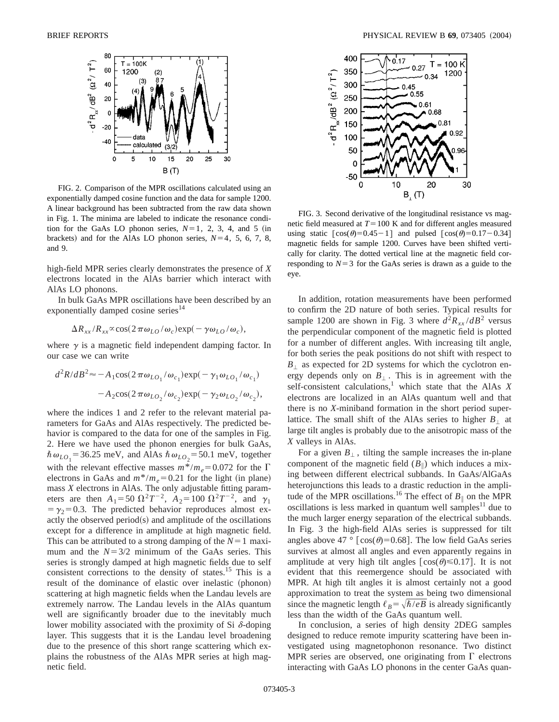

FIG. 2. Comparison of the MPR oscillations calculated using an exponentially damped cosine function and the data for sample 1200. A linear background has been subtracted from the raw data shown in Fig. 1. The minima are labeled to indicate the resonance condition for the GaAs LO phonon series,  $N=1$ , 2, 3, 4, and 5 (in brackets) and for the AlAs LO phonon series,  $N=4$ , 5, 6, 7, 8, and 9.

high-field MPR series clearly demonstrates the presence of *X* electrons located in the AlAs barrier which interact with AlAs LO phonons.

In bulk GaAs MPR oscillations have been described by an exponentially damped cosine series<sup>14</sup>

$$
\Delta R_{xx}/R_{xx}\infty\cos(2\pi\omega_{LO}/\omega_c)\exp(-\gamma\omega_{LO}/\omega_c),
$$

where  $\gamma$  is a magnetic field independent damping factor. In our case we can write

$$
d^2R/dB^2 \approx -A_1 \cos(2\pi\omega_{LO_1}/\omega_{c_1}) \exp(-\gamma_1\omega_{LO_1}/\omega_{c_1})
$$

$$
-A_2 \cos(2\pi\omega_{LO_2}/\omega_{c_2}) \exp(-\gamma_2\omega_{LO_2}/\omega_{c_2}),
$$

where the indices 1 and 2 refer to the relevant material parameters for GaAs and AlAs respectively. The predicted behavior is compared to the data for one of the samples in Fig. 2. Here we have used the phonon energies for bulk GaAs,  $\hbar \omega_{LO_1}$  = 36.25 meV, and AlAs  $\hbar \omega_{LO_2}$  = 50.1 meV, together with the relevant effective masses  $m^*/m_e = 0.072$  for the  $\Gamma$ electrons in GaAs and  $m^*/m_e = 0.21$  for the light (in plane) mass *X* electrons in AlAs. The only adjustable fitting parameters are then  $A_1 = 50 \Omega^2 T^{-2}$ ,  $A_2 = 100 \Omega^2 T^{-2}$ , and  $\gamma_1$  $=\gamma_2=0.3$ . The predicted behavior reproduces almost exactly the observed period $(s)$  and amplitude of the oscillations except for a difference in amplitude at high magnetic field. This can be attributed to a strong damping of the  $N=1$  maximum and the  $N=3/2$  minimum of the GaAs series. This series is strongly damped at high magnetic fields due to self consistent corrections to the density of states.<sup>15</sup> This is a result of the dominance of elastic over inelastic (phonon) scattering at high magnetic fields when the Landau levels are extremely narrow. The Landau levels in the AlAs quantum well are significantly broader due to the inevitably much lower mobility associated with the proximity of Si  $\delta$ -doping layer. This suggests that it is the Landau level broadening due to the presence of this short range scattering which explains the robustness of the AlAs MPR series at high magnetic field.



FIG. 3. Second derivative of the longitudinal resistance vs magnetic field measured at  $T=100$  K and for different angles measured using static  $\lceil cos(\theta)=0.45-1 \rceil$  and pulsed  $\lceil cos(\theta)=0.17-0.34 \rceil$ magnetic fields for sample 1200. Curves have been shifted vertically for clarity. The dotted vertical line at the magnetic field corresponding to  $N=3$  for the GaAs series is drawn as a guide to the eye.

In addition, rotation measurements have been performed to confirm the 2D nature of both series. Typical results for sample 1200 are shown in Fig. 3 where  $d^2R_{xx}/dB^2$  versus the perpendicular component of the magnetic field is plotted for a number of different angles. With increasing tilt angle, for both series the peak positions do not shift with respect to  $B_{\perp}$  as expected for 2D systems for which the cyclotron energy depends only on  $B_{\perp}$ . This is in agreement with the self-consistent calculations,<sup>1</sup> which state that the AlAs *X* electrons are localized in an AlAs quantum well and that there is no *X*-miniband formation in the short period superlattice. The small shift of the AlAs series to higher  $B_{\perp}$  at large tilt angles is probably due to the anisotropic mass of the *X* valleys in AlAs.

For a given  $B_{\perp}$ , tilting the sample increases the in-plane component of the magnetic field  $(B_{\parallel})$  which induces a mixing between different electrical subbands. In GaAs/AlGaAs heterojunctions this leads to a drastic reduction in the amplitude of the MPR oscillations.<sup>16</sup> The effect of  $B_{\parallel}$  on the MPR oscillations is less marked in quantum well samples<sup>11</sup> due to the much larger energy separation of the electrical subbands. In Fig. 3 the high-field AlAs series is suppressed for tilt angles above 47 °  $\lceil cos(\theta) = 0.68 \rceil$ . The low field GaAs series survives at almost all angles and even apparently regains in amplitude at very high tilt angles  $[\cos(\theta) \le 0.17]$ . It is not evident that this reemergence should be associated with MPR. At high tilt angles it is almost certainly not a good approximation to treat the system as being two dimensional since the magnetic length  $\ell_B = \sqrt{\hbar/eB}$  is already significantly less than the width of the GaAs quantum well.

In conclusion, a series of high density 2DEG samples designed to reduce remote impurity scattering have been investigated using magnetophonon resonance. Two distinct MPR series are observed, one originating from  $\Gamma$  electrons interacting with GaAs LO phonons in the center GaAs quan